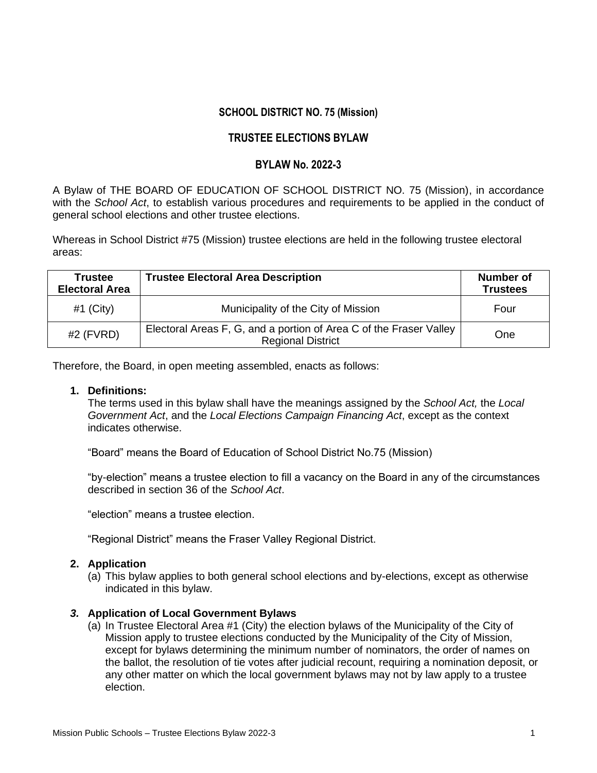## **SCHOOL DISTRICT NO. 75 (Mission)**

# **TRUSTEE ELECTIONS BYLAW**

# **BYLAW No. 2022-3**

A Bylaw of THE BOARD OF EDUCATION OF SCHOOL DISTRICT NO. 75 (Mission), in accordance with the *School Act*, to establish various procedures and requirements to be applied in the conduct of general school elections and other trustee elections.

Whereas in School District #75 (Mission) trustee elections are held in the following trustee electoral areas:

| <b>Trustee</b><br><b>Electoral Area</b> | <b>Trustee Electoral Area Description</b>                                                      | Number of<br><b>Trustees</b> |
|-----------------------------------------|------------------------------------------------------------------------------------------------|------------------------------|
| #1 (City)                               | Municipality of the City of Mission                                                            | Four                         |
| $#2$ (FVRD)                             | Electoral Areas F, G, and a portion of Area C of the Fraser Valley<br><b>Regional District</b> | One                          |

Therefore, the Board, in open meeting assembled, enacts as follows:

# **1. Definitions:**

The terms used in this bylaw shall have the meanings assigned by the *School Act,* the *Local Government Act*, and the *Local Elections Campaign Financing Act*, except as the context indicates otherwise.

"Board" means the Board of Education of School District No.75 (Mission)

"by-election" means a trustee election to fill a vacancy on the Board in any of the circumstances described in section 36 of the *School Act*.

"election" means a trustee election.

"Regional District" means the Fraser Valley Regional District.

#### **2. Application**

(a) This bylaw applies to both general school elections and by-elections, except as otherwise indicated in this bylaw.

#### *3.* **Application of Local Government Bylaws**

(a) In Trustee Electoral Area #1 (City) the election bylaws of the Municipality of the City of Mission apply to trustee elections conducted by the Municipality of the City of Mission, except for bylaws determining the minimum number of nominators, the order of names on the ballot, the resolution of tie votes after judicial recount, requiring a nomination deposit, or any other matter on which the local government bylaws may not by law apply to a trustee election.